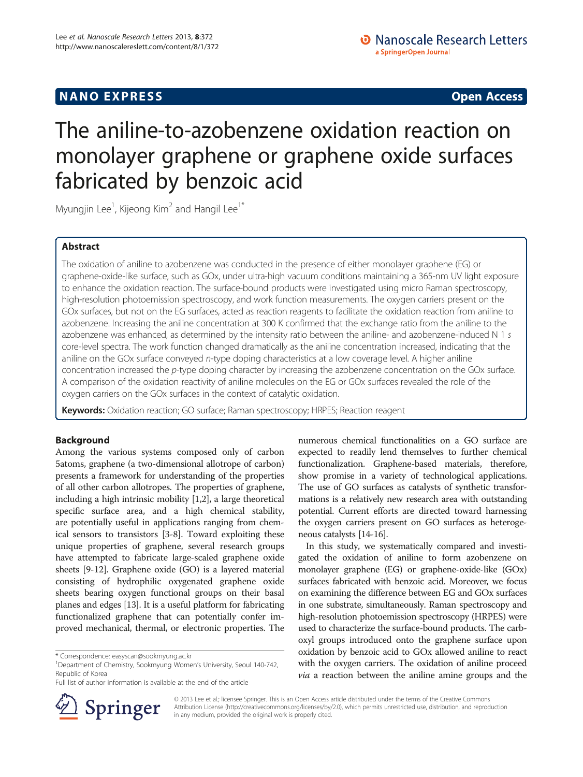## **NANO EXPRESS** Open Access **CONTROL**

# The aniline-to-azobenzene oxidation reaction on monolayer graphene or graphene oxide surfaces fabricated by benzoic acid

Myungjin Lee $^{\rm 1}$ , Kijeong Kim $^{\rm 2}$  and Hangil Lee $^{\rm 1*}$ 

## Abstract

The oxidation of aniline to azobenzene was conducted in the presence of either monolayer graphene (EG) or graphene-oxide-like surface, such as GOx, under ultra-high vacuum conditions maintaining a 365-nm UV light exposure to enhance the oxidation reaction. The surface-bound products were investigated using micro Raman spectroscopy, high-resolution photoemission spectroscopy, and work function measurements. The oxygen carriers present on the GOx surfaces, but not on the EG surfaces, acted as reaction reagents to facilitate the oxidation reaction from aniline to azobenzene. Increasing the aniline concentration at 300 K confirmed that the exchange ratio from the aniline to the azobenzene was enhanced, as determined by the intensity ratio between the aniline- and azobenzene-induced N 1 s core-level spectra. The work function changed dramatically as the aniline concentration increased, indicating that the aniline on the GOx surface conveyed n-type doping characteristics at a low coverage level. A higher aniline concentration increased the p-type doping character by increasing the azobenzene concentration on the GOx surface. A comparison of the oxidation reactivity of aniline molecules on the EG or GOx surfaces revealed the role of the oxygen carriers on the GOx surfaces in the context of catalytic oxidation.

Keywords: Oxidation reaction; GO surface; Raman spectroscopy; HRPES; Reaction reagent

## Background

Among the various systems composed only of carbon 5atoms, graphene (a two-dimensional allotrope of carbon) presents a framework for understanding of the properties of all other carbon allotropes. The properties of graphene, including a high intrinsic mobility [\[1,2\]](#page-5-0), a large theoretical specific surface area, and a high chemical stability, are potentially useful in applications ranging from chemical sensors to transistors [[3-8\]](#page-5-0). Toward exploiting these unique properties of graphene, several research groups have attempted to fabricate large-scaled graphene oxide sheets [[9-12\]](#page-5-0). Graphene oxide (GO) is a layered material consisting of hydrophilic oxygenated graphene oxide sheets bearing oxygen functional groups on their basal planes and edges [\[13](#page-5-0)]. It is a useful platform for fabricating functionalized graphene that can potentially confer improved mechanical, thermal, or electronic properties. The



In this study, we systematically compared and investigated the oxidation of aniline to form azobenzene on monolayer graphene (EG) or graphene-oxide-like (GOx) surfaces fabricated with benzoic acid. Moreover, we focus on examining the difference between EG and GOx surfaces in one substrate, simultaneously. Raman spectroscopy and high-resolution photoemission spectroscopy (HRPES) were used to characterize the surface-bound products. The carboxyl groups introduced onto the graphene surface upon oxidation by benzoic acid to GOx allowed aniline to react with the oxygen carriers. The oxidation of aniline proceed *via* a reaction between the aniline amine groups and the



© 2013 Lee et al.; licensee Springer. This is an Open Access article distributed under the terms of the Creative Commons Attribution License [\(http://creativecommons.org/licenses/by/2.0\)](http://creativecommons.org/licenses/by/2.0), which permits unrestricted use, distribution, and reproduction in any medium, provided the original work is properly cited.

<sup>\*</sup> Correspondence: [easyscan@sookmyung.ac.kr](mailto:easyscan@sookmyung.ac.kr) <sup>1</sup>

<sup>&</sup>lt;sup>1</sup>Department of Chemistry, Sookmyung Women's University, Seoul 140-742, Republic of Korea

Full list of author information is available at the end of the article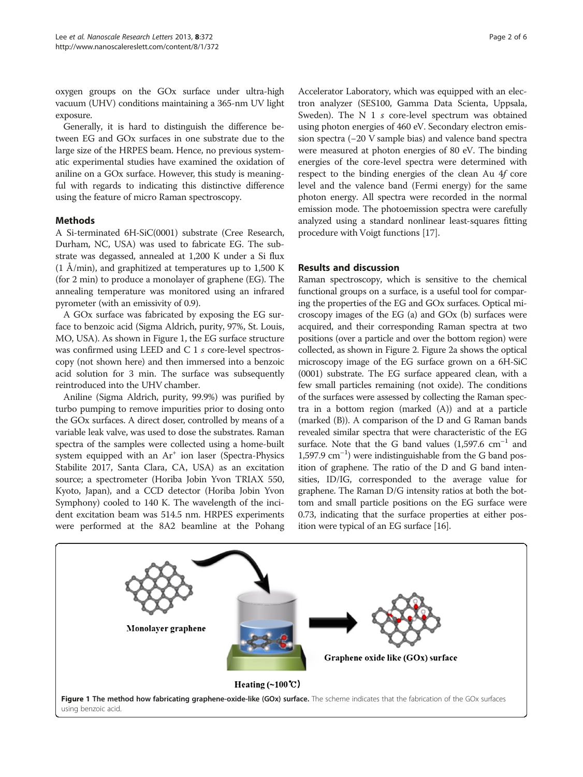<span id="page-1-0"></span>oxygen groups on the GOx surface under ultra-high vacuum (UHV) conditions maintaining a 365-nm UV light exposure.

Generally, it is hard to distinguish the difference between EG and GOx surfaces in one substrate due to the large size of the HRPES beam. Hence, no previous systematic experimental studies have examined the oxidation of aniline on a GOx surface. However, this study is meaningful with regards to indicating this distinctive difference using the feature of micro Raman spectroscopy.

## Methods

A Si-terminated 6H-SiC(0001) substrate (Cree Research, Durham, NC, USA) was used to fabricate EG. The substrate was degassed, annealed at 1,200 K under a Si flux  $(1 \text{ Å/min})$ , and graphitized at temperatures up to 1,500 K (for 2 min) to produce a monolayer of graphene (EG). The annealing temperature was monitored using an infrared pyrometer (with an emissivity of 0.9).

A GOx surface was fabricated by exposing the EG surface to benzoic acid (Sigma Aldrich, purity, 97%, St. Louis, MO, USA). As shown in Figure 1, the EG surface structure was confirmed using LEED and C 1 s core-level spectroscopy (not shown here) and then immersed into a benzoic acid solution for 3 min. The surface was subsequently reintroduced into the UHV chamber.

Aniline (Sigma Aldrich, purity, 99.9%) was purified by turbo pumping to remove impurities prior to dosing onto the GOx surfaces. A direct doser, controlled by means of a variable leak valve, was used to dose the substrates. Raman spectra of the samples were collected using a home-built system equipped with an Ar<sup>+</sup> ion laser (Spectra-Physics Stabilite 2017, Santa Clara, CA, USA) as an excitation source; a spectrometer (Horiba Jobin Yvon TRIAX 550, Kyoto, Japan), and a CCD detector (Horiba Jobin Yvon Symphony) cooled to 140 K. The wavelength of the incident excitation beam was 514.5 nm. HRPES experiments were performed at the 8A2 beamline at the Pohang

Accelerator Laboratory, which was equipped with an electron analyzer (SES100, Gamma Data Scienta, Uppsala, Sweden). The N 1 s core-level spectrum was obtained using photon energies of 460 eV. Secondary electron emission spectra (−20 V sample bias) and valence band spectra were measured at photon energies of 80 eV. The binding energies of the core-level spectra were determined with respect to the binding energies of the clean Au 4f core level and the valence band (Fermi energy) for the same photon energy. All spectra were recorded in the normal emission mode. The photoemission spectra were carefully analyzed using a standard nonlinear least-squares fitting procedure with Voigt functions [[17](#page-5-0)].

## Results and discussion

Raman spectroscopy, which is sensitive to the chemical functional groups on a surface, is a useful tool for comparing the properties of the EG and GOx surfaces. Optical microscopy images of the EG (a) and GOx (b) surfaces were acquired, and their corresponding Raman spectra at two positions (over a particle and over the bottom region) were collected, as shown in Figure [2](#page-2-0). Figure [2](#page-2-0)a shows the optical microscopy image of the EG surface grown on a 6H-SiC (0001) substrate. The EG surface appeared clean, with a few small particles remaining (not oxide). The conditions of the surfaces were assessed by collecting the Raman spectra in a bottom region (marked (A)) and at a particle (marked (B)). A comparison of the D and G Raman bands revealed similar spectra that were characteristic of the EG surface. Note that the G band values  $(1,597.6 \text{ cm}^{-1})$  and 1,597.9 cm–<sup>1</sup> ) were indistinguishable from the G band position of graphene. The ratio of the D and G band intensities, ID/IG, corresponded to the average value for graphene. The Raman D/G intensity ratios at both the bottom and small particle positions on the EG surface were 0.73, indicating that the surface properties at either position were typical of an EG surface [\[16\]](#page-5-0).

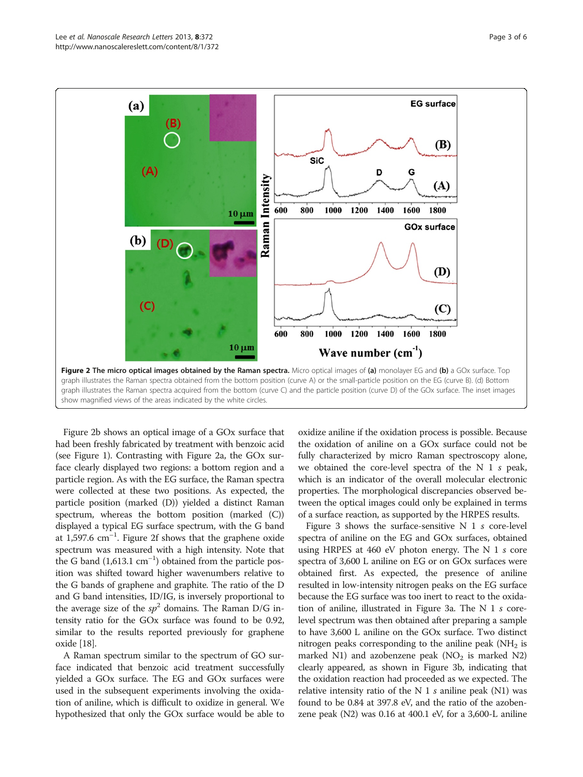<span id="page-2-0"></span>

Figure 2b shows an optical image of a GOx surface that had been freshly fabricated by treatment with benzoic acid (see Figure [1\)](#page-1-0). Contrasting with Figure 2a, the GOx surface clearly displayed two regions: a bottom region and a particle region. As with the EG surface, the Raman spectra were collected at these two positions. As expected, the particle position (marked (D)) yielded a distinct Raman spectrum, whereas the bottom position (marked (C)) displayed a typical EG surface spectrum, with the G band at  $1,597.6$   $\text{cm}^{-1}$ . Figure 2f shows that the graphene oxide spectrum was measured with a high intensity. Note that the G band  $(1,613.1 \text{ cm}^{-1})$  obtained from the particle position was shifted toward higher wavenumbers relative to the G bands of graphene and graphite. The ratio of the D and G band intensities, ID/IG, is inversely proportional to the average size of the  $sp^2$  domains. The Raman D/G intensity ratio for the GOx surface was found to be 0.92, similar to the results reported previously for graphene oxide [\[18\]](#page-5-0).

A Raman spectrum similar to the spectrum of GO surface indicated that benzoic acid treatment successfully yielded a GOx surface. The EG and GOx surfaces were used in the subsequent experiments involving the oxidation of aniline, which is difficult to oxidize in general. We hypothesized that only the GOx surface would be able to oxidize aniline if the oxidation process is possible. Because the oxidation of aniline on a GOx surface could not be fully characterized by micro Raman spectroscopy alone, we obtained the core-level spectra of the N 1 s peak, which is an indicator of the overall molecular electronic properties. The morphological discrepancies observed between the optical images could only be explained in terms of a surface reaction, as supported by the HRPES results.

Figure [3](#page-3-0) shows the surface-sensitive N 1 s core-level spectra of aniline on the EG and GOx surfaces, obtained using HRPES at 460 eV photon energy. The N 1 s core spectra of 3,600 L aniline on EG or on GOx surfaces were obtained first. As expected, the presence of aniline resulted in low-intensity nitrogen peaks on the EG surface because the EG surface was too inert to react to the oxidation of aniline, illustrated in Figure [3](#page-3-0)a. The N 1 s corelevel spectrum was then obtained after preparing a sample to have 3,600 L aniline on the GOx surface. Two distinct nitrogen peaks corresponding to the aniline peak ( $NH<sub>2</sub>$  is marked N1) and azobenzene peak ( $NO<sub>2</sub>$  is marked N2) clearly appeared, as shown in Figure [3](#page-3-0)b, indicating that the oxidation reaction had proceeded as we expected. The relative intensity ratio of the N 1 s aniline peak  $(N1)$  was found to be 0.84 at 397.8 eV, and the ratio of the azobenzene peak (N2) was 0.16 at 400.1 eV, for a 3,600-L aniline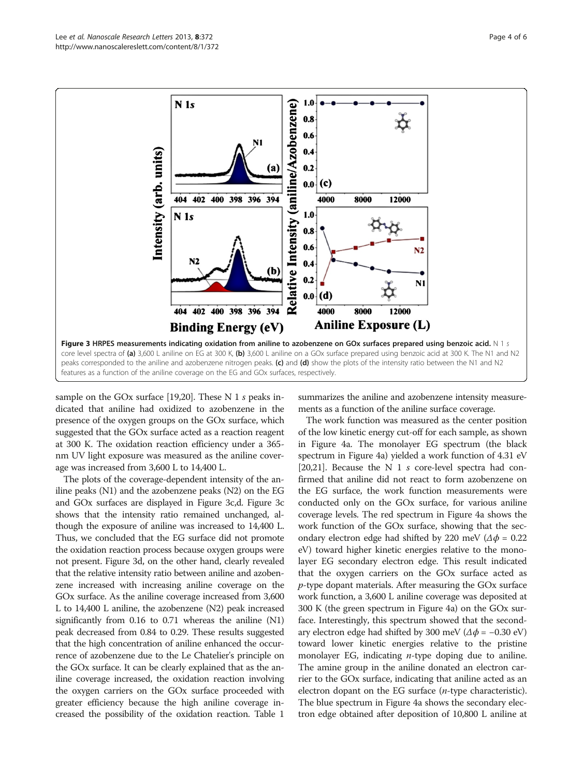<span id="page-3-0"></span>

sample on the GOx surface [\[19,20](#page-5-0)]. These N 1 s peaks indicated that aniline had oxidized to azobenzene in the presence of the oxygen groups on the GOx surface, which suggested that the GOx surface acted as a reaction reagent at 300 K. The oxidation reaction efficiency under a 365 nm UV light exposure was measured as the aniline coverage was increased from 3,600 L to 14,400 L.

The plots of the coverage-dependent intensity of the aniline peaks (N1) and the azobenzene peaks (N2) on the EG and GOx surfaces are displayed in Figure 3c,d. Figure 3c shows that the intensity ratio remained unchanged, although the exposure of aniline was increased to 14,400 L. Thus, we concluded that the EG surface did not promote the oxidation reaction process because oxygen groups were not present. Figure 3d, on the other hand, clearly revealed that the relative intensity ratio between aniline and azobenzene increased with increasing aniline coverage on the GOx surface. As the aniline coverage increased from 3,600 L to 14,400 L aniline, the azobenzene (N2) peak increased significantly from 0.16 to 0.71 whereas the aniline (N1) peak decreased from 0.84 to 0.29. These results suggested that the high concentration of aniline enhanced the occurrence of azobenzene due to the Le Chatelier's principle on the GOx surface. It can be clearly explained that as the aniline coverage increased, the oxidation reaction involving the oxygen carriers on the GOx surface proceeded with greater efficiency because the high aniline coverage increased the possibility of the oxidation reaction. Table [1](#page-4-0)

summarizes the aniline and azobenzene intensity measurements as a function of the aniline surface coverage.

The work function was measured as the center position of the low kinetic energy cut-off for each sample, as shown in Figure [4a](#page-4-0). The monolayer EG spectrum (the black spectrum in Figure [4](#page-4-0)a) yielded a work function of 4.31 eV [[20,21](#page-5-0)]. Because the N 1 s core-level spectra had confirmed that aniline did not react to form azobenzene on the EG surface, the work function measurements were conducted only on the GOx surface, for various aniline coverage levels. The red spectrum in Figure [4a](#page-4-0) shows the work function of the GOx surface, showing that the secondary electron edge had shifted by 220 meV ( $\Delta \phi$  = 0.22 eV) toward higher kinetic energies relative to the monolayer EG secondary electron edge. This result indicated that the oxygen carriers on the GOx surface acted as  $p$ -type dopant materials. After measuring the GOx surface work function, a 3,600 L aniline coverage was deposited at 300 K (the green spectrum in Figure [4](#page-4-0)a) on the GOx surface. Interestingly, this spectrum showed that the secondary electron edge had shifted by 300 meV ( $\Delta \phi$  = -0.30 eV) toward lower kinetic energies relative to the pristine monolayer EG, indicating  $n$ -type doping due to aniline. The amine group in the aniline donated an electron carrier to the GOx surface, indicating that aniline acted as an electron dopant on the EG surface  $(n$ -type characteristic). The blue spectrum in Figure [4](#page-4-0)a shows the secondary electron edge obtained after deposition of 10,800 L aniline at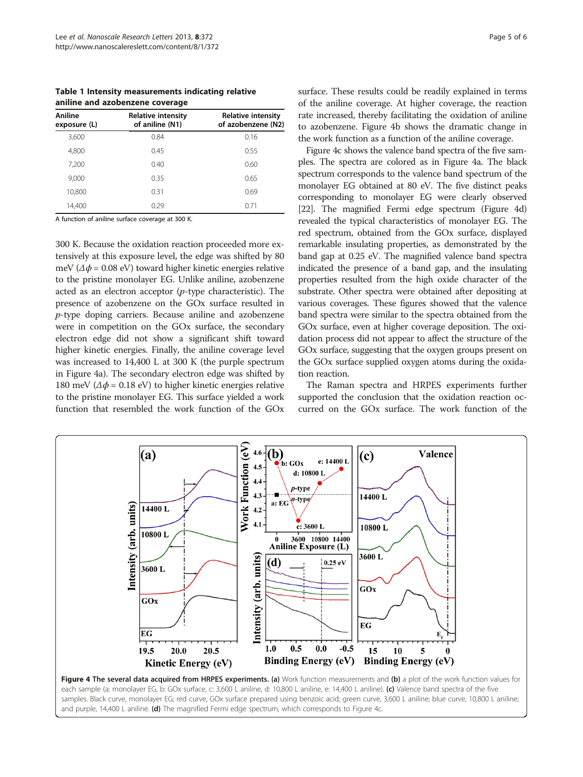<span id="page-4-0"></span>Table 1 Intensity measurements indicating relative aniline and azobenzene coverage

| Aniline<br>exposure (L) | <b>Relative intensity</b><br>of aniline (N1) | <b>Relative intensity</b><br>of azobenzene (N2) |
|-------------------------|----------------------------------------------|-------------------------------------------------|
| 3,600                   | 0.84                                         | 0.16                                            |
| 4,800                   | 0.45                                         | 0.55                                            |
| 7,200                   | 0.40                                         | 0.60                                            |
| 9,000                   | 0.35                                         | 0.65                                            |
| 10,800                  | 0.31                                         | 0.69                                            |
| 14,400                  | 0.29                                         | 0.71                                            |

A function of aniline surface coverage at 300 K.

300 K. Because the oxidation reaction proceeded more extensively at this exposure level, the edge was shifted by 80 meV ( $\Delta \phi$  = 0.08 eV) toward higher kinetic energies relative to the pristine monolayer EG. Unlike aniline, azobenzene acted as an electron acceptor  $(p$ -type characteristic). The presence of azobenzene on the GOx surface resulted in p-type doping carriers. Because aniline and azobenzene were in competition on the GOx surface, the secondary electron edge did not show a significant shift toward higher kinetic energies. Finally, the aniline coverage level was increased to 14,400 L at 300 K (the purple spectrum in Figure 4a). The secondary electron edge was shifted by 180 meV ( $\Delta \phi$  = 0.18 eV) to higher kinetic energies relative to the pristine monolayer EG. This surface yielded a work function that resembled the work function of the GOx surface. These results could be readily explained in terms of the aniline coverage. At higher coverage, the reaction rate increased, thereby facilitating the oxidation of aniline to azobenzene. Figure 4b shows the dramatic change in the work function as a function of the aniline coverage.

Figure 4c shows the valence band spectra of the five samples. The spectra are colored as in Figure 4a. The black spectrum corresponds to the valence band spectrum of the monolayer EG obtained at 80 eV. The five distinct peaks corresponding to monolayer EG were clearly observed [[22](#page-5-0)]. The magnified Fermi edge spectrum (Figure 4d) revealed the typical characteristics of monolayer EG. The red spectrum, obtained from the GOx surface, displayed remarkable insulating properties, as demonstrated by the band gap at 0.25 eV. The magnified valence band spectra indicated the presence of a band gap, and the insulating properties resulted from the high oxide character of the substrate. Other spectra were obtained after depositing at various coverages. These figures showed that the valence band spectra were similar to the spectra obtained from the GOx surface, even at higher coverage deposition. The oxidation process did not appear to affect the structure of the GOx surface, suggesting that the oxygen groups present on the GOx surface supplied oxygen atoms during the oxidation reaction.

The Raman spectra and HRPES experiments further supported the conclusion that the oxidation reaction occurred on the GOx surface. The work function of the